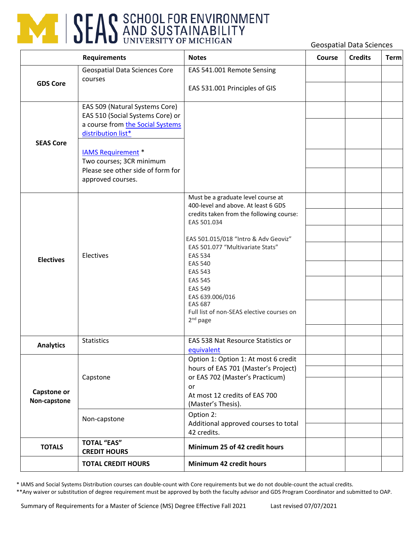

Geospatial Data Sciences

| <b>Requirements</b>                |                                                                                                                                                                                                                                                 | <b>Notes</b>                                                                                                                                                                                                                                                                                                                                                                                               | Course | <b>Credits</b> | <b>Term</b> |
|------------------------------------|-------------------------------------------------------------------------------------------------------------------------------------------------------------------------------------------------------------------------------------------------|------------------------------------------------------------------------------------------------------------------------------------------------------------------------------------------------------------------------------------------------------------------------------------------------------------------------------------------------------------------------------------------------------------|--------|----------------|-------------|
| <b>GDS Core</b>                    | <b>Geospatial Data Sciences Core</b><br>courses                                                                                                                                                                                                 | EAS 541.001 Remote Sensing<br>EAS 531.001 Principles of GIS                                                                                                                                                                                                                                                                                                                                                |        |                |             |
| <b>SEAS Core</b>                   | EAS 509 (Natural Systems Core)<br>EAS 510 (Social Systems Core) or<br>a course from the Social Systems<br>distribution list*<br><b>IAMS Requirement</b> *<br>Two courses; 3CR minimum<br>Please see other side of form for<br>approved courses. |                                                                                                                                                                                                                                                                                                                                                                                                            |        |                |             |
| <b>Electives</b>                   | Electives                                                                                                                                                                                                                                       | Must be a graduate level course at<br>400-level and above. At least 6 GDS<br>credits taken from the following course:<br>EAS 501.034<br>EAS 501.015/018 "Intro & Adv Geoviz"<br>EAS 501.077 "Multivariate Stats"<br><b>EAS 534</b><br><b>EAS 540</b><br><b>EAS 543</b><br><b>EAS 545</b><br><b>EAS 549</b><br>EAS 639.006/016<br><b>EAS 687</b><br>Full list of non-SEAS elective courses on<br>$2nd$ page |        |                |             |
| <b>Analytics</b>                   | <b>Statistics</b>                                                                                                                                                                                                                               | EAS 538 Nat Resource Statistics or<br>equivalent                                                                                                                                                                                                                                                                                                                                                           |        |                |             |
| <b>Capstone or</b><br>Non-capstone | Capstone                                                                                                                                                                                                                                        | Option 1: Option 1: At most 6 credit<br>hours of EAS 701 (Master's Project)<br>or EAS 702 (Master's Practicum)<br>or<br>At most 12 credits of EAS 700<br>(Master's Thesis).<br>Option 2:                                                                                                                                                                                                                   |        |                |             |
|                                    | Non-capstone                                                                                                                                                                                                                                    | Additional approved courses to total<br>42 credits.                                                                                                                                                                                                                                                                                                                                                        |        |                |             |
| <b>TOTALS</b>                      | <b>TOTAL "EAS"</b><br><b>CREDIT HOURS</b>                                                                                                                                                                                                       | Minimum 25 of 42 credit hours                                                                                                                                                                                                                                                                                                                                                                              |        |                |             |
|                                    | <b>TOTAL CREDIT HOURS</b>                                                                                                                                                                                                                       | Minimum 42 credit hours                                                                                                                                                                                                                                                                                                                                                                                    |        |                |             |

\* IAMS and Social Systems Distribution courses can double-count with Core requirements but we do not double-count the actual credits.

\*\*Any waiver or substitution of degree requirement must be approved by both the faculty advisor and GDS Program Coordinator and submitted to OAP.